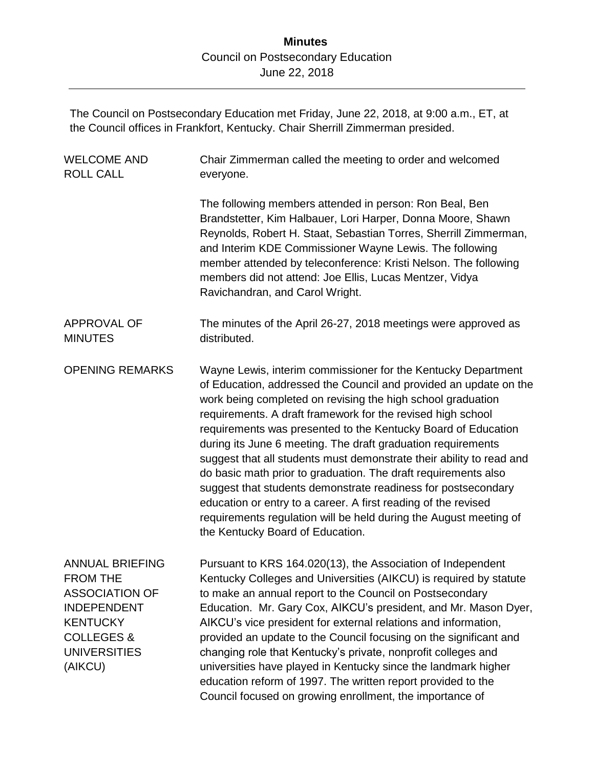The Council on Postsecondary Education met Friday, June 22, 2018, at 9:00 a.m., ET, at the Council offices in Frankfort, Kentucky. Chair Sherrill Zimmerman presided.

| <b>WELCOME AND</b><br><b>ROLL CALL</b>                                                                                                                                 | Chair Zimmerman called the meeting to order and welcomed<br>everyone.                                                                                                                                                                                                                                                                                                                                                                                                                                                                                                                                                                                                                                                                                                                   |
|------------------------------------------------------------------------------------------------------------------------------------------------------------------------|-----------------------------------------------------------------------------------------------------------------------------------------------------------------------------------------------------------------------------------------------------------------------------------------------------------------------------------------------------------------------------------------------------------------------------------------------------------------------------------------------------------------------------------------------------------------------------------------------------------------------------------------------------------------------------------------------------------------------------------------------------------------------------------------|
|                                                                                                                                                                        | The following members attended in person: Ron Beal, Ben<br>Brandstetter, Kim Halbauer, Lori Harper, Donna Moore, Shawn<br>Reynolds, Robert H. Staat, Sebastian Torres, Sherrill Zimmerman,<br>and Interim KDE Commissioner Wayne Lewis. The following<br>member attended by teleconference: Kristi Nelson. The following<br>members did not attend: Joe Ellis, Lucas Mentzer, Vidya<br>Ravichandran, and Carol Wright.                                                                                                                                                                                                                                                                                                                                                                  |
| <b>APPROVAL OF</b><br><b>MINUTES</b>                                                                                                                                   | The minutes of the April 26-27, 2018 meetings were approved as<br>distributed.                                                                                                                                                                                                                                                                                                                                                                                                                                                                                                                                                                                                                                                                                                          |
| <b>OPENING REMARKS</b>                                                                                                                                                 | Wayne Lewis, interim commissioner for the Kentucky Department<br>of Education, addressed the Council and provided an update on the<br>work being completed on revising the high school graduation<br>requirements. A draft framework for the revised high school<br>requirements was presented to the Kentucky Board of Education<br>during its June 6 meeting. The draft graduation requirements<br>suggest that all students must demonstrate their ability to read and<br>do basic math prior to graduation. The draft requirements also<br>suggest that students demonstrate readiness for postsecondary<br>education or entry to a career. A first reading of the revised<br>requirements regulation will be held during the August meeting of<br>the Kentucky Board of Education. |
| <b>ANNUAL BRIEFING</b><br><b>FROM THE</b><br><b>ASSOCIATION OF</b><br><b>INDEPENDENT</b><br><b>KENTUCKY</b><br><b>COLLEGES &amp;</b><br><b>UNIVERSITIES</b><br>(AIKCU) | Pursuant to KRS 164.020(13), the Association of Independent<br>Kentucky Colleges and Universities (AIKCU) is required by statute<br>to make an annual report to the Council on Postsecondary<br>Education. Mr. Gary Cox, AIKCU's president, and Mr. Mason Dyer,<br>AIKCU's vice president for external relations and information,<br>provided an update to the Council focusing on the significant and<br>changing role that Kentucky's private, nonprofit colleges and<br>universities have played in Kentucky since the landmark higher<br>education reform of 1997. The written report provided to the<br>Council focused on growing enrollment, the importance of                                                                                                                   |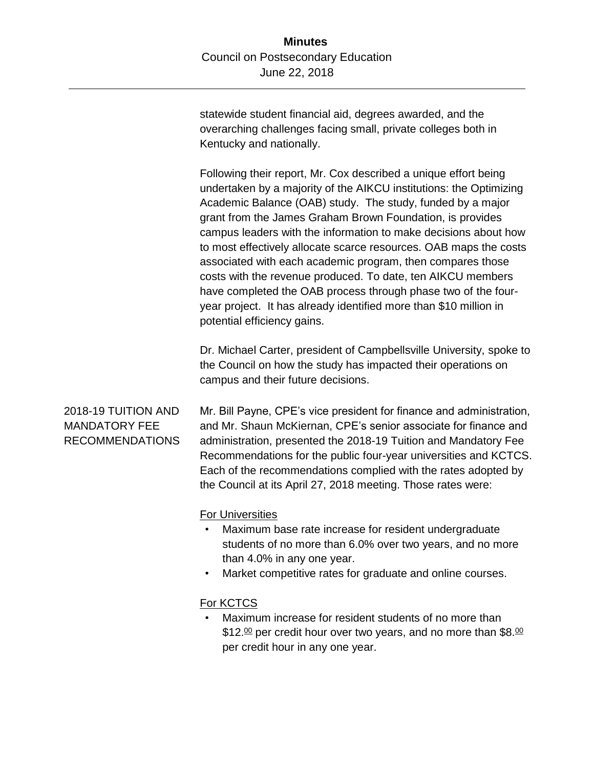statewide student financial aid, degrees awarded, and the overarching challenges facing small, private colleges both in Kentucky and nationally.

Following their report, Mr. Cox described a unique effort being undertaken by a majority of the AIKCU institutions: the Optimizing Academic Balance (OAB) study. The study, funded by a major grant from the James Graham Brown Foundation, is provides campus leaders with the information to make decisions about how to most effectively allocate scarce resources. OAB maps the costs associated with each academic program, then compares those costs with the revenue produced. To date, ten AIKCU members have completed the OAB process through phase two of the fouryear project. It has already identified more than \$10 million in potential efficiency gains.

Dr. Michael Carter, president of Campbellsville University, spoke to the Council on how the study has impacted their operations on campus and their future decisions.

2018-19 TUITION AND MANDATORY FEE RECOMMENDATIONS Mr. Bill Payne, CPE's vice president for finance and administration, and Mr. Shaun McKiernan, CPE's senior associate for finance and administration, presented the 2018-19 Tuition and Mandatory Fee Recommendations for the public four-year universities and KCTCS. Each of the recommendations complied with the rates adopted by the Council at its April 27, 2018 meeting. Those rates were:

For Universities

- Maximum base rate increase for resident undergraduate students of no more than 6.0% over two years, and no more than 4.0% in any one year.
- Market competitive rates for graduate and online courses.

### For KCTCS

Maximum increase for resident students of no more than \$12.<sup>00</sup> per credit hour over two years, and no more than \$8.<sup>00</sup> per credit hour in any one year.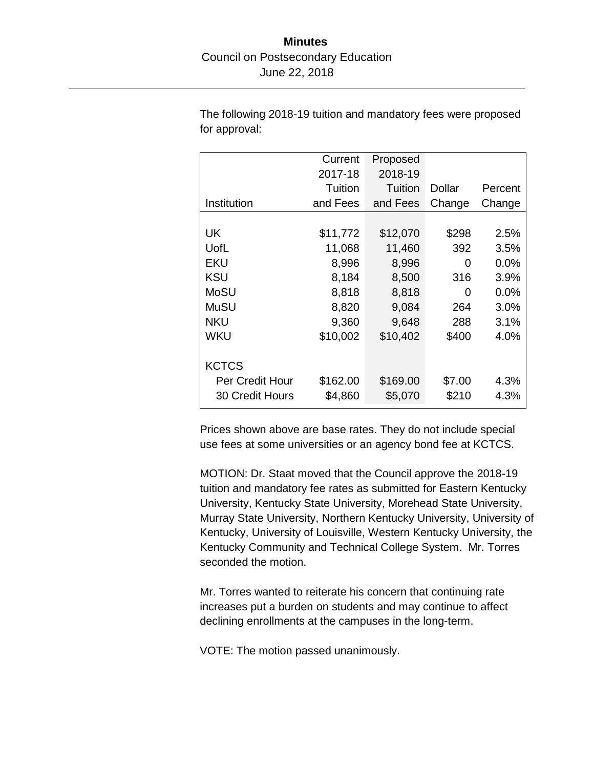The following 2018-19 tuition and mandatory fees were proposed for approval:

|                 | Current  | Proposed |        |         |
|-----------------|----------|----------|--------|---------|
|                 | 2017-18  | 2018-19  |        |         |
|                 | Tuition  | Tuition  | Dollar | Percent |
| Institution     | and Fees | and Fees | Change | Change  |
|                 |          |          |        |         |
| UK              | \$11,772 | \$12,070 | \$298  | 2.5%    |
| UofL            | 11,068   | 11,460   | 392    | 3.5%    |
| EKU             | 8,996    | 8,996    | O      | 0.0%    |
| <b>KSU</b>      | 8,184    | 8,500    | 316    | 3.9%    |
| MoSU            | 8,818    | 8,818    | 0      | 0.0%    |
| MuSU            | 8,820    | 9,084    | 264    | 3.0%    |
| <b>NKU</b>      | 9,360    | 9,648    | 288    | 3.1%    |
| WKU             | \$10,002 | \$10,402 | \$400  | 4.0%    |
|                 |          |          |        |         |
| <b>KCTCS</b>    |          |          |        |         |
| Per Credit Hour | \$162.00 | \$169.00 | \$7.00 | 4.3%    |
| 30 Credit Hours | \$4,860  | \$5,070  | \$210  | 4.3%    |

Prices shown above are base rates. They do not include special use fees at some universities or an agency bond fee at KCTCS.

MOTION: Dr. Staat moved that the Council approve the 2018-19 tuition and mandatory fee rates as submitted for Eastern Kentucky University, Kentucky State University, Morehead State University, Murray State University, Northern Kentucky University, University of Kentucky, University of Louisville, Western Kentucky University, the Kentucky Community and Technical College System. Mr. Torres seconded the motion.

Mr. Torres wanted to reiterate his concern that continuing rate increases put a burden on students and may continue to affect declining enrollments at the campuses in the long-term.

VOTE: The motion passed unanimously.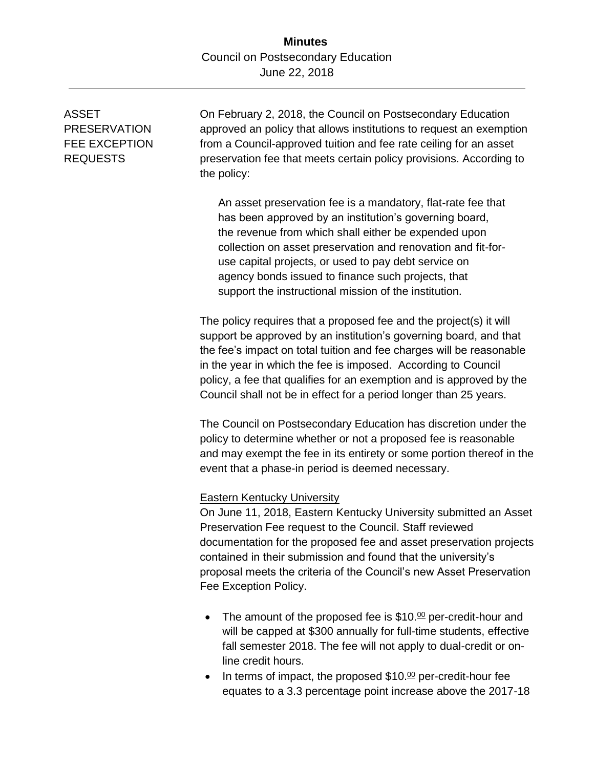# ASSET PRESERVATION FEE EXCEPTION REQUESTS

On February 2, 2018, the Council on Postsecondary Education approved an policy that allows institutions to request an exemption from a Council-approved tuition and fee rate ceiling for an asset preservation fee that meets certain policy provisions. According to the policy:

An asset preservation fee is a mandatory, flat-rate fee that has been approved by an institution's governing board, the revenue from which shall either be expended upon collection on asset preservation and renovation and fit-foruse capital projects, or used to pay debt service on agency bonds issued to finance such projects, that support the instructional mission of the institution.

The policy requires that a proposed fee and the project(s) it will support be approved by an institution's governing board, and that the fee's impact on total tuition and fee charges will be reasonable in the year in which the fee is imposed. According to Council policy, a fee that qualifies for an exemption and is approved by the Council shall not be in effect for a period longer than 25 years.

The Council on Postsecondary Education has discretion under the policy to determine whether or not a proposed fee is reasonable and may exempt the fee in its entirety or some portion thereof in the event that a phase-in period is deemed necessary.

#### Eastern Kentucky University

On June 11, 2018, Eastern Kentucky University submitted an Asset Preservation Fee request to the Council. Staff reviewed documentation for the proposed fee and asset preservation projects contained in their submission and found that the university's proposal meets the criteria of the Council's new Asset Preservation Fee Exception Policy.

- The amount of the proposed fee is  $$10.<sup>00</sup>$  per-credit-hour and will be capped at \$300 annually for full-time students, effective fall semester 2018. The fee will not apply to dual-credit or online credit hours.
- In terms of impact, the proposed  $$10.<sup>00</sup>$  per-credit-hour fee equates to a 3.3 percentage point increase above the 2017-18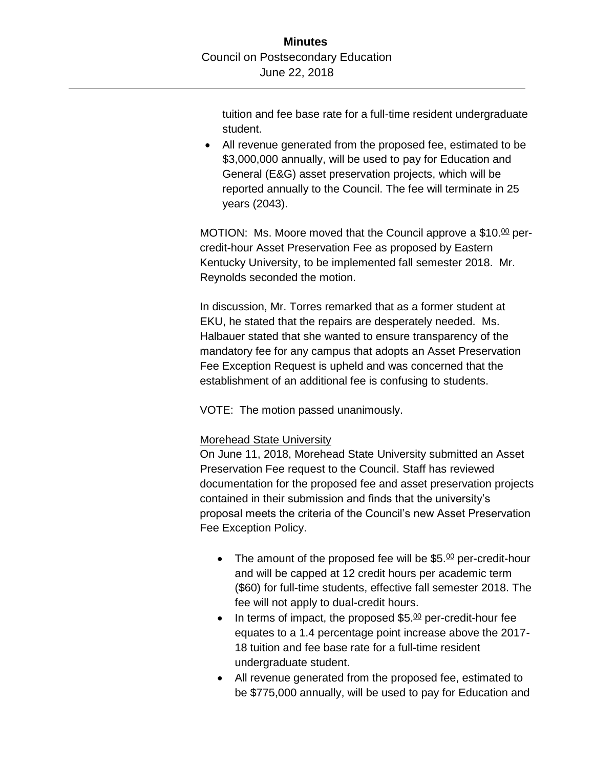tuition and fee base rate for a full-time resident undergraduate student.

 All revenue generated from the proposed fee, estimated to be \$3,000,000 annually, will be used to pay for Education and General (E&G) asset preservation projects, which will be reported annually to the Council. The fee will terminate in 25 years (2043).

MOTION: Ms. Moore moved that the Council approve a \$10. $\frac{00}{2}$  percredit-hour Asset Preservation Fee as proposed by Eastern Kentucky University, to be implemented fall semester 2018. Mr. Reynolds seconded the motion.

In discussion, Mr. Torres remarked that as a former student at EKU, he stated that the repairs are desperately needed. Ms. Halbauer stated that she wanted to ensure transparency of the mandatory fee for any campus that adopts an Asset Preservation Fee Exception Request is upheld and was concerned that the establishment of an additional fee is confusing to students.

VOTE: The motion passed unanimously.

## Morehead State University

On June 11, 2018, Morehead State University submitted an Asset Preservation Fee request to the Council. Staff has reviewed documentation for the proposed fee and asset preservation projects contained in their submission and finds that the university's proposal meets the criteria of the Council's new Asset Preservation Fee Exception Policy.

- The amount of the proposed fee will be  $$5.\t{0}$  per-credit-hour and will be capped at 12 credit hours per academic term (\$60) for full-time students, effective fall semester 2018. The fee will not apply to dual-credit hours.
- In terms of impact, the proposed  $$5.\frac{00}{2}$  per-credit-hour fee equates to a 1.4 percentage point increase above the 2017- 18 tuition and fee base rate for a full-time resident undergraduate student.
- All revenue generated from the proposed fee, estimated to be \$775,000 annually, will be used to pay for Education and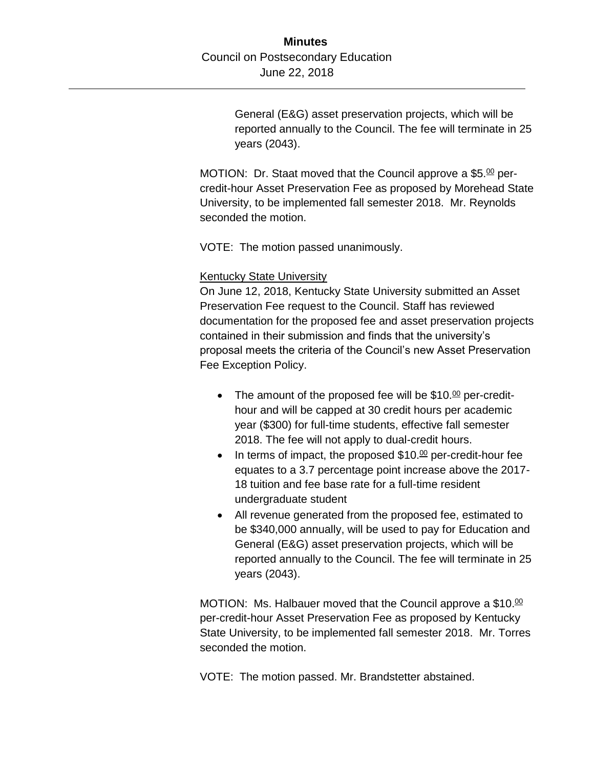General (E&G) asset preservation projects, which will be reported annually to the Council. The fee will terminate in 25 years (2043).

MOTION: Dr. Staat moved that the Council approve a  $$5.\t%$  percredit-hour Asset Preservation Fee as proposed by Morehead State University, to be implemented fall semester 2018. Mr. Reynolds seconded the motion.

VOTE: The motion passed unanimously.

#### Kentucky State University

On June 12, 2018, Kentucky State University submitted an Asset Preservation Fee request to the Council. Staff has reviewed documentation for the proposed fee and asset preservation projects contained in their submission and finds that the university's proposal meets the criteria of the Council's new Asset Preservation Fee Exception Policy.

- The amount of the proposed fee will be  $$10. $\text{m}$  per-credit$ hour and will be capped at 30 credit hours per academic year (\$300) for full-time students, effective fall semester 2018. The fee will not apply to dual-credit hours.
- $\bullet$  In terms of impact, the proposed \$10. $\omega$  per-credit-hour fee equates to a 3.7 percentage point increase above the 2017- 18 tuition and fee base rate for a full-time resident undergraduate student
- All revenue generated from the proposed fee, estimated to be \$340,000 annually, will be used to pay for Education and General (E&G) asset preservation projects, which will be reported annually to the Council. The fee will terminate in 25 years (2043).

MOTION: Ms. Halbauer moved that the Council approve a \$10.00 per-credit-hour Asset Preservation Fee as proposed by Kentucky State University, to be implemented fall semester 2018. Mr. Torres seconded the motion.

VOTE: The motion passed. Mr. Brandstetter abstained.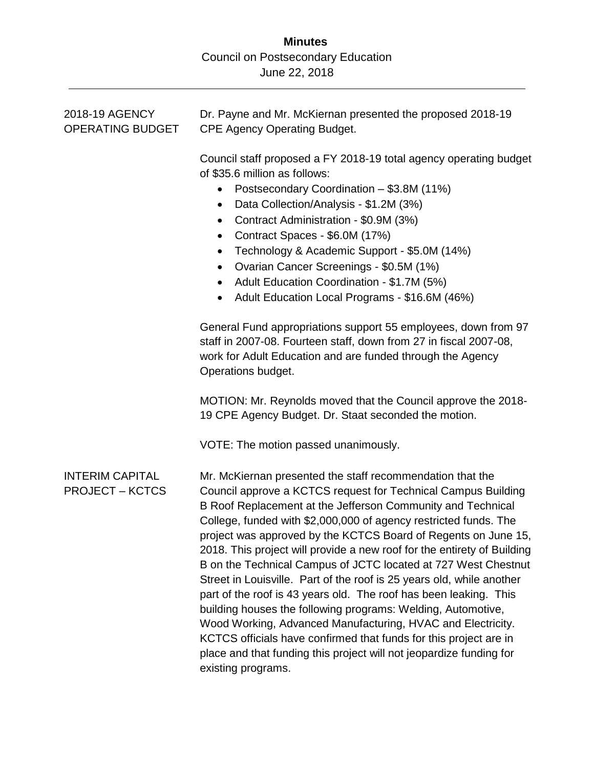| 2018-19 AGENCY<br><b>OPERATING BUDGET</b>        | Dr. Payne and Mr. McKiernan presented the proposed 2018-19<br><b>CPE Agency Operating Budget.</b>                                                                                                                                                                                                                                                                                                                                                                                                                                                                                                                                                                                                                                                                                                                                                                                                                           |
|--------------------------------------------------|-----------------------------------------------------------------------------------------------------------------------------------------------------------------------------------------------------------------------------------------------------------------------------------------------------------------------------------------------------------------------------------------------------------------------------------------------------------------------------------------------------------------------------------------------------------------------------------------------------------------------------------------------------------------------------------------------------------------------------------------------------------------------------------------------------------------------------------------------------------------------------------------------------------------------------|
|                                                  | Council staff proposed a FY 2018-19 total agency operating budget<br>of \$35.6 million as follows:<br>Postsecondary Coordination - \$3.8M (11%)<br>$\bullet$<br>Data Collection/Analysis - \$1.2M (3%)<br>$\bullet$<br>Contract Administration - \$0.9M (3%)<br>Contract Spaces - \$6.0M (17%)<br>$\bullet$<br>Technology & Academic Support - \$5.0M (14%)<br>$\bullet$<br>Ovarian Cancer Screenings - \$0.5M (1%)<br>$\bullet$<br>Adult Education Coordination - \$1.7M (5%)<br>$\bullet$<br>Adult Education Local Programs - \$16.6M (46%)                                                                                                                                                                                                                                                                                                                                                                               |
|                                                  | General Fund appropriations support 55 employees, down from 97<br>staff in 2007-08. Fourteen staff, down from 27 in fiscal 2007-08,<br>work for Adult Education and are funded through the Agency<br>Operations budget.                                                                                                                                                                                                                                                                                                                                                                                                                                                                                                                                                                                                                                                                                                     |
|                                                  | MOTION: Mr. Reynolds moved that the Council approve the 2018-<br>19 CPE Agency Budget. Dr. Staat seconded the motion.                                                                                                                                                                                                                                                                                                                                                                                                                                                                                                                                                                                                                                                                                                                                                                                                       |
|                                                  | VOTE: The motion passed unanimously.                                                                                                                                                                                                                                                                                                                                                                                                                                                                                                                                                                                                                                                                                                                                                                                                                                                                                        |
| <b>INTERIM CAPITAL</b><br><b>PROJECT – KCTCS</b> | Mr. McKiernan presented the staff recommendation that the<br>Council approve a KCTCS request for Technical Campus Building<br>B Roof Replacement at the Jefferson Community and Technical<br>College, funded with \$2,000,000 of agency restricted funds. The<br>project was approved by the KCTCS Board of Regents on June 15,<br>2018. This project will provide a new roof for the entirety of Building<br>B on the Technical Campus of JCTC located at 727 West Chestnut<br>Street in Louisville. Part of the roof is 25 years old, while another<br>part of the roof is 43 years old. The roof has been leaking. This<br>building houses the following programs: Welding, Automotive,<br>Wood Working, Advanced Manufacturing, HVAC and Electricity.<br>KCTCS officials have confirmed that funds for this project are in<br>place and that funding this project will not jeopardize funding for<br>existing programs. |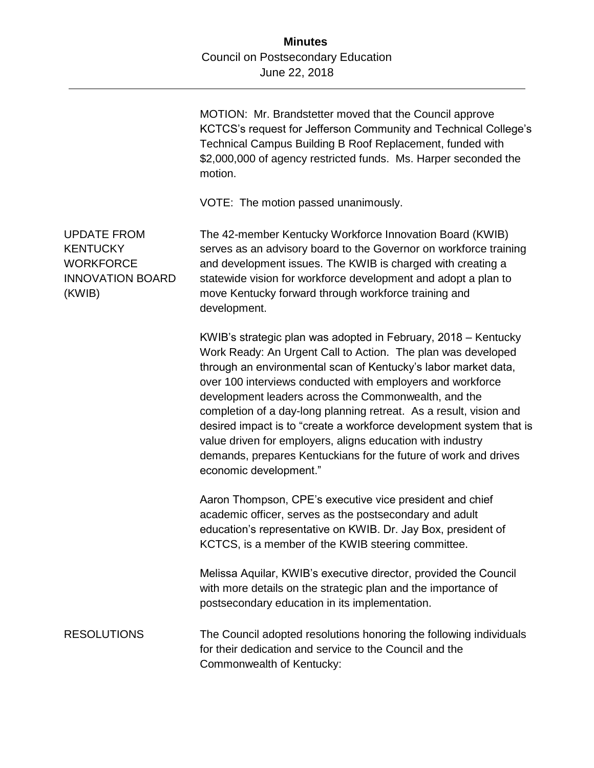|                                                                                                | MOTION: Mr. Brandstetter moved that the Council approve<br>KCTCS's request for Jefferson Community and Technical College's<br>Technical Campus Building B Roof Replacement, funded with<br>\$2,000,000 of agency restricted funds. Ms. Harper seconded the<br>motion.                                                                                                                                                                                                                                                                                                                                                          |
|------------------------------------------------------------------------------------------------|--------------------------------------------------------------------------------------------------------------------------------------------------------------------------------------------------------------------------------------------------------------------------------------------------------------------------------------------------------------------------------------------------------------------------------------------------------------------------------------------------------------------------------------------------------------------------------------------------------------------------------|
|                                                                                                | VOTE: The motion passed unanimously.                                                                                                                                                                                                                                                                                                                                                                                                                                                                                                                                                                                           |
| <b>UPDATE FROM</b><br><b>KENTUCKY</b><br><b>WORKFORCE</b><br><b>INNOVATION BOARD</b><br>(KWIB) | The 42-member Kentucky Workforce Innovation Board (KWIB)<br>serves as an advisory board to the Governor on workforce training<br>and development issues. The KWIB is charged with creating a<br>statewide vision for workforce development and adopt a plan to<br>move Kentucky forward through workforce training and<br>development.                                                                                                                                                                                                                                                                                         |
|                                                                                                | KWIB's strategic plan was adopted in February, 2018 – Kentucky<br>Work Ready: An Urgent Call to Action. The plan was developed<br>through an environmental scan of Kentucky's labor market data,<br>over 100 interviews conducted with employers and workforce<br>development leaders across the Commonwealth, and the<br>completion of a day-long planning retreat. As a result, vision and<br>desired impact is to "create a workforce development system that is<br>value driven for employers, aligns education with industry<br>demands, prepares Kentuckians for the future of work and drives<br>economic development." |
|                                                                                                | Aaron Thompson, CPE's executive vice president and chief<br>academic officer, serves as the postsecondary and adult<br>education's representative on KWIB. Dr. Jay Box, president of<br>KCTCS, is a member of the KWIB steering committee.                                                                                                                                                                                                                                                                                                                                                                                     |
|                                                                                                | Melissa Aquilar, KWIB's executive director, provided the Council<br>with more details on the strategic plan and the importance of<br>postsecondary education in its implementation.                                                                                                                                                                                                                                                                                                                                                                                                                                            |
| <b>RESOLUTIONS</b>                                                                             | The Council adopted resolutions honoring the following individuals<br>for their dedication and service to the Council and the<br>Commonwealth of Kentucky:                                                                                                                                                                                                                                                                                                                                                                                                                                                                     |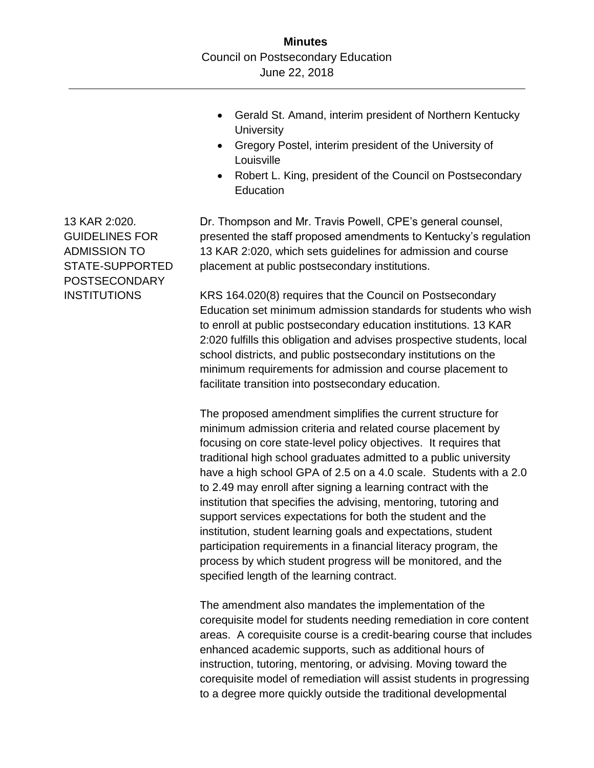- Gerald St. Amand, interim president of Northern Kentucky **University**
- Gregory Postel, interim president of the University of Louisville
- Robert L. King, president of the Council on Postsecondary **Education**

Dr. Thompson and Mr. Travis Powell, CPE's general counsel, presented the staff proposed amendments to Kentucky's regulation 13 KAR 2:020, which sets guidelines for admission and course placement at public postsecondary institutions.

KRS 164.020(8) requires that the Council on Postsecondary Education set minimum admission standards for students who wish to enroll at public postsecondary education institutions. 13 KAR 2:020 fulfills this obligation and advises prospective students, local school districts, and public postsecondary institutions on the minimum requirements for admission and course placement to facilitate transition into postsecondary education.

The proposed amendment simplifies the current structure for minimum admission criteria and related course placement by focusing on core state-level policy objectives. It requires that traditional high school graduates admitted to a public university have a high school GPA of 2.5 on a 4.0 scale. Students with a 2.0 to 2.49 may enroll after signing a learning contract with the institution that specifies the advising, mentoring, tutoring and support services expectations for both the student and the institution, student learning goals and expectations, student participation requirements in a financial literacy program, the process by which student progress will be monitored, and the specified length of the learning contract.

The amendment also mandates the implementation of the corequisite model for students needing remediation in core content areas. A corequisite course is a credit-bearing course that includes enhanced academic supports, such as additional hours of instruction, tutoring, mentoring, or advising. Moving toward the corequisite model of remediation will assist students in progressing to a degree more quickly outside the traditional developmental

13 KAR 2:020. GUIDELINES FOR ADMISSION TO STATE-SUPPORTED POSTSECONDARY **INSTITUTIONS**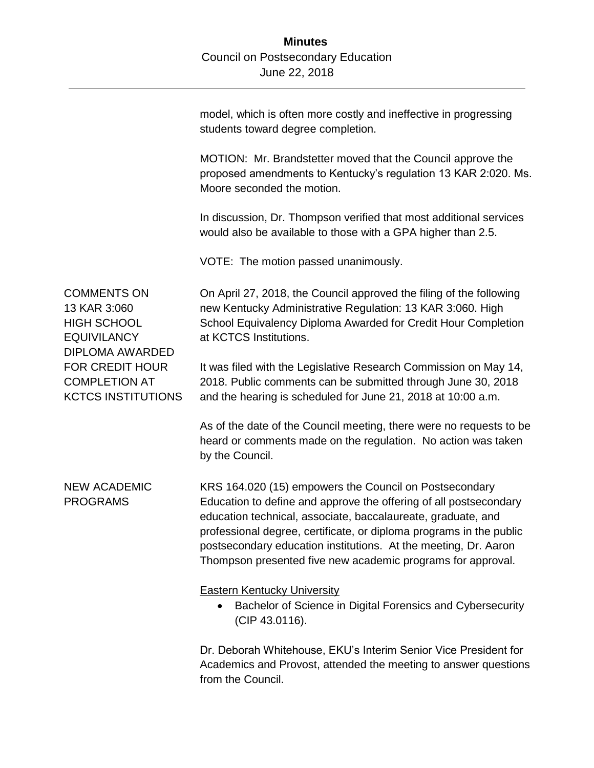model, which is often more costly and ineffective in progressing students toward degree completion. MOTION: Mr. Brandstetter moved that the Council approve the proposed amendments to Kentucky's regulation 13 KAR 2:020. Ms. Moore seconded the motion. In discussion, Dr. Thompson verified that most additional services would also be available to those with a GPA higher than 2.5. VOTE: The motion passed unanimously. COMMENTS ON 13 KAR 3:060 HIGH SCHOOL **EQUIVILANCY** DIPLOMA AWARDED FOR CREDIT HOUR COMPLETION AT KCTCS INSTITUTIONS On April 27, 2018, the Council approved the filing of the following new Kentucky Administrative Regulation: 13 KAR 3:060. High School Equivalency Diploma Awarded for Credit Hour Completion at KCTCS Institutions. It was filed with the Legislative Research Commission on May 14, 2018. Public comments can be submitted through June 30, 2018 and the hearing is scheduled for June 21, 2018 at 10:00 a.m. As of the date of the Council meeting, there were no requests to be heard or comments made on the regulation. No action was taken by the Council. NEW ACADEMIC PROGRAMS KRS 164.020 (15) empowers the Council on Postsecondary Education to define and approve the offering of all postsecondary education technical, associate, baccalaureate, graduate, and professional degree, certificate, or diploma programs in the public postsecondary education institutions. At the meeting, Dr. Aaron Thompson presented five new academic programs for approval. Eastern Kentucky University • Bachelor of Science in Digital Forensics and Cybersecurity (CIP 43.0116). Dr. Deborah Whitehouse, EKU's Interim Senior Vice President for Academics and Provost, attended the meeting to answer questions

from the Council.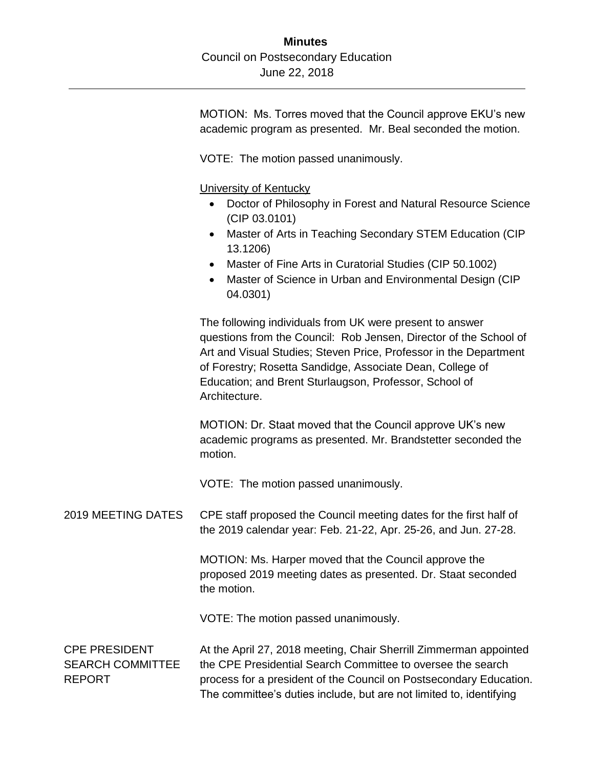MOTION: Ms. Torres moved that the Council approve EKU's new academic program as presented. Mr. Beal seconded the motion.

VOTE: The motion passed unanimously.

University of Kentucky

- Doctor of Philosophy in Forest and Natural Resource Science (CIP 03.0101)
- Master of Arts in Teaching Secondary STEM Education (CIP 13.1206)
- Master of Fine Arts in Curatorial Studies (CIP 50.1002)
- Master of Science in Urban and Environmental Design (CIP 04.0301)

The following individuals from UK were present to answer questions from the Council: Rob Jensen, Director of the School of Art and Visual Studies; Steven Price, Professor in the Department of Forestry; Rosetta Sandidge, Associate Dean, College of Education; and Brent Sturlaugson, Professor, School of Architecture.

MOTION: Dr. Staat moved that the Council approve UK's new academic programs as presented. Mr. Brandstetter seconded the motion.

VOTE: The motion passed unanimously.

2019 MEETING DATES CPE staff proposed the Council meeting dates for the first half of the 2019 calendar year: Feb. 21-22, Apr. 25-26, and Jun. 27-28.

> MOTION: Ms. Harper moved that the Council approve the proposed 2019 meeting dates as presented. Dr. Staat seconded the motion.

VOTE: The motion passed unanimously.

CPE PRESIDENT SEARCH COMMITTEE REPORT At the April 27, 2018 meeting, Chair Sherrill Zimmerman appointed the CPE Presidential Search Committee to oversee the search process for a president of the Council on Postsecondary Education. The committee's duties include, but are not limited to, identifying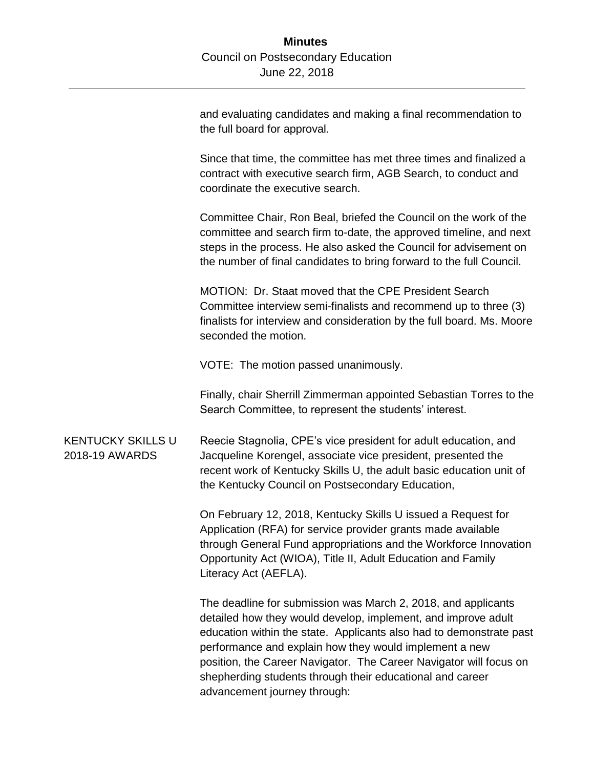and evaluating candidates and making a final recommendation to the full board for approval.

Since that time, the committee has met three times and finalized a contract with executive search firm, AGB Search, to conduct and coordinate the executive search.

Committee Chair, Ron Beal, briefed the Council on the work of the committee and search firm to-date, the approved timeline, and next steps in the process. He also asked the Council for advisement on the number of final candidates to bring forward to the full Council.

MOTION: Dr. Staat moved that the CPE President Search Committee interview semi-finalists and recommend up to three (3) finalists for interview and consideration by the full board. Ms. Moore seconded the motion.

VOTE: The motion passed unanimously.

Finally, chair Sherrill Zimmerman appointed Sebastian Torres to the Search Committee, to represent the students' interest.

KENTUCKY SKILLS U 2018-19 AWARDS Reecie Stagnolia, CPE's vice president for adult education, and Jacqueline Korengel, associate vice president, presented the recent work of Kentucky Skills U, the adult basic education unit of the Kentucky Council on Postsecondary Education,

> On February 12, 2018, Kentucky Skills U issued a Request for Application (RFA) for service provider grants made available through General Fund appropriations and the Workforce Innovation Opportunity Act (WIOA), Title II, Adult Education and Family Literacy Act (AEFLA).

> The deadline for submission was March 2, 2018, and applicants detailed how they would develop, implement, and improve adult education within the state. Applicants also had to demonstrate past performance and explain how they would implement a new position, the Career Navigator. The Career Navigator will focus on shepherding students through their educational and career advancement journey through: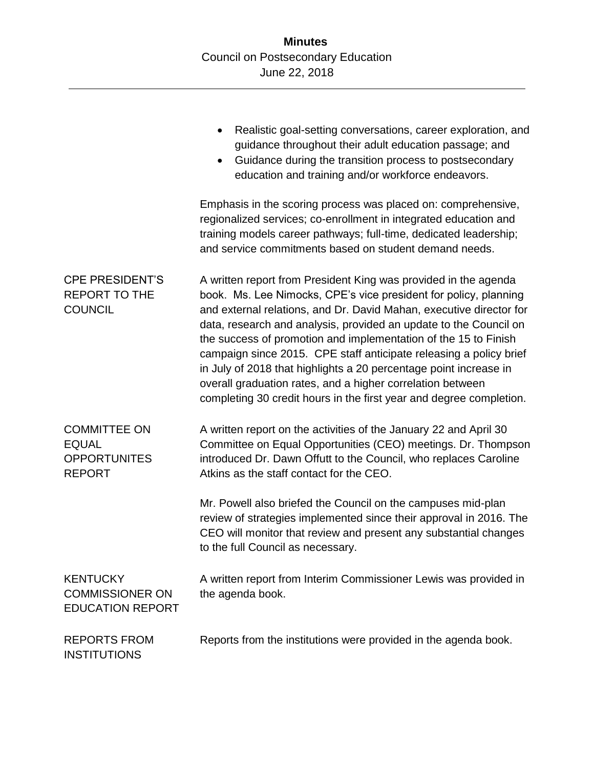|                                                                             | Realistic goal-setting conversations, career exploration, and<br>guidance throughout their adult education passage; and<br>Guidance during the transition process to postsecondary<br>education and training and/or workforce endeavors.                                                                                                                                                                                                                                                                                                                                                                                           |
|-----------------------------------------------------------------------------|------------------------------------------------------------------------------------------------------------------------------------------------------------------------------------------------------------------------------------------------------------------------------------------------------------------------------------------------------------------------------------------------------------------------------------------------------------------------------------------------------------------------------------------------------------------------------------------------------------------------------------|
|                                                                             | Emphasis in the scoring process was placed on: comprehensive,<br>regionalized services; co-enrollment in integrated education and<br>training models career pathways; full-time, dedicated leadership;<br>and service commitments based on student demand needs.                                                                                                                                                                                                                                                                                                                                                                   |
| <b>CPE PRESIDENT'S</b><br><b>REPORT TO THE</b><br><b>COUNCIL</b>            | A written report from President King was provided in the agenda<br>book. Ms. Lee Nimocks, CPE's vice president for policy, planning<br>and external relations, and Dr. David Mahan, executive director for<br>data, research and analysis, provided an update to the Council on<br>the success of promotion and implementation of the 15 to Finish<br>campaign since 2015. CPE staff anticipate releasing a policy brief<br>in July of 2018 that highlights a 20 percentage point increase in<br>overall graduation rates, and a higher correlation between<br>completing 30 credit hours in the first year and degree completion. |
| <b>COMMITTEE ON</b><br><b>EQUAL</b><br><b>OPPORTUNITES</b><br><b>REPORT</b> | A written report on the activities of the January 22 and April 30<br>Committee on Equal Opportunities (CEO) meetings. Dr. Thompson<br>introduced Dr. Dawn Offutt to the Council, who replaces Caroline<br>Atkins as the staff contact for the CEO.                                                                                                                                                                                                                                                                                                                                                                                 |
|                                                                             | Mr. Powell also briefed the Council on the campuses mid-plan<br>review of strategies implemented since their approval in 2016. The<br>CEO will monitor that review and present any substantial changes<br>to the full Council as necessary.                                                                                                                                                                                                                                                                                                                                                                                        |
| <b>KENTUCKY</b><br><b>COMMISSIONER ON</b><br><b>EDUCATION REPORT</b>        | A written report from Interim Commissioner Lewis was provided in<br>the agenda book.                                                                                                                                                                                                                                                                                                                                                                                                                                                                                                                                               |
| <b>REPORTS FROM</b><br><b>INSTITUTIONS</b>                                  | Reports from the institutions were provided in the agenda book.                                                                                                                                                                                                                                                                                                                                                                                                                                                                                                                                                                    |